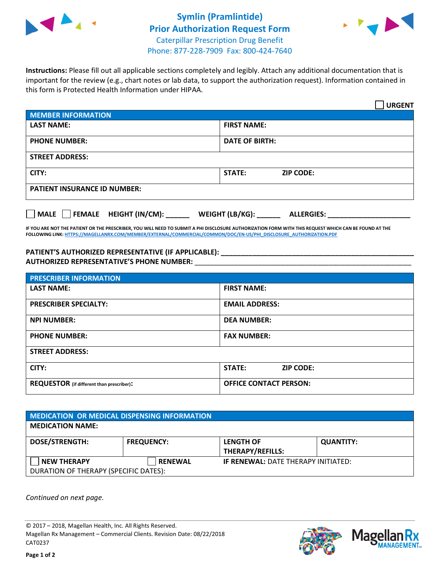



**Instructions:** Please fill out all applicable sections completely and legibly. Attach any additional documentation that is important for the review (e.g., chart notes or lab data, to support the authorization request). Information contained in this form is Protected Health Information under HIPAA.

|                                            | <b>URGENT</b>                        |  |
|--------------------------------------------|--------------------------------------|--|
| <b>MEMBER INFORMATION</b>                  |                                      |  |
| <b>LAST NAME:</b>                          | <b>FIRST NAME:</b>                   |  |
| <b>PHONE NUMBER:</b>                       | <b>DATE OF BIRTH:</b>                |  |
| <b>STREET ADDRESS:</b>                     |                                      |  |
| CITY:                                      | STATE:<br><b>ZIP CODE:</b>           |  |
| <b>PATIENT INSURANCE ID NUMBER:</b>        |                                      |  |
| FEMALE HEIGHT (IN/CM):<br>$ $ MALE $ $ $ $ | WEIGHT (LB/KG):<br><b>ALLERGIES:</b> |  |

**IF YOU ARE NOT THE PATIENT OR THE PRESCRIBER, YOU WILL NEED TO SUBMIT A PHI DISCLOSURE AUTHORIZATION FORM WITH THIS REQUEST WHICH CAN BE FOUND AT THE FOLLOWING LINK[: HTTPS://MAGELLANRX.COM/MEMBER/EXTERNAL/COMMERCIAL/COMMON/DOC/EN-US/PHI\\_DISCLOSURE\\_AUTHORIZATION.PDF](https://magellanrx.com/member/external/commercial/common/doc/en-us/PHI_Disclosure_Authorization.pdf)**

PATIENT'S AUTHORIZED REPRESENTATIVE (IF APPLICABLE): **AUTHORIZED REPRESENTATIVE'S PHONE NUMBER:** \_\_\_\_\_\_\_\_\_\_\_\_\_\_\_\_\_\_\_\_\_\_\_\_\_\_\_\_\_\_\_\_\_\_\_\_\_\_\_\_\_\_\_\_\_\_\_\_\_\_\_\_\_\_\_

| <b>PRESCRIBER INFORMATION</b>             |                               |  |  |  |
|-------------------------------------------|-------------------------------|--|--|--|
| <b>LAST NAME:</b>                         | <b>FIRST NAME:</b>            |  |  |  |
| <b>PRESCRIBER SPECIALTY:</b>              | <b>EMAIL ADDRESS:</b>         |  |  |  |
| <b>NPI NUMBER:</b>                        | <b>DEA NUMBER:</b>            |  |  |  |
| <b>PHONE NUMBER:</b>                      | <b>FAX NUMBER:</b>            |  |  |  |
| <b>STREET ADDRESS:</b>                    |                               |  |  |  |
| CITY:                                     | STATE:<br><b>ZIP CODE:</b>    |  |  |  |
| REQUESTOR (if different than prescriber): | <b>OFFICE CONTACT PERSON:</b> |  |  |  |

| <b>MEDICATION OR MEDICAL DISPENSING INFORMATION</b>         |                   |                                             |                  |  |  |
|-------------------------------------------------------------|-------------------|---------------------------------------------|------------------|--|--|
| <b>MEDICATION NAME:</b>                                     |                   |                                             |                  |  |  |
| <b>DOSE/STRENGTH:</b>                                       | <b>FREQUENCY:</b> | <b>LENGTH OF</b><br><b>THERAPY/REFILLS:</b> | <b>QUANTITY:</b> |  |  |
| <b>NEW THERAPY</b><br>DURATION OF THERAPY (SPECIFIC DATES): | <b>RENEWAL</b>    | <b>IF RENEWAL: DATE THERAPY INITIATED:</b>  |                  |  |  |

*Continued on next page.*

© 2017 – 2018, Magellan Health, Inc. All Rights Reserved. Magellan Rx Management – Commercial Clients. Revision Date: 08/22/2018 CAT0237



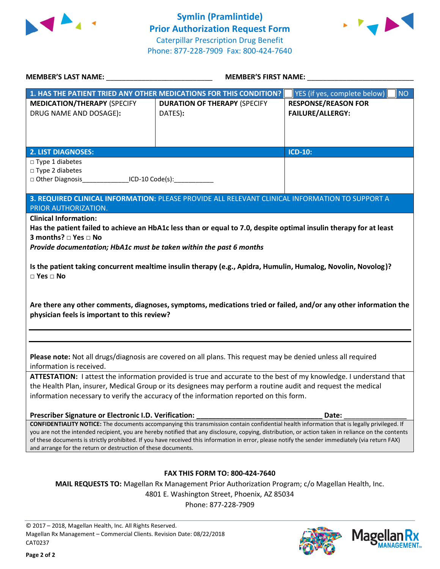



| MEMBER'S LAST NAME: NAMER AND THE RESERVE TO A LIMIT OF THE RESERVE TO A LIMIT OF THE RESERVE TO A LIMIT OF TH                                                                                         |                                                                                                                                                  | MEMBER'S FIRST NAME:                                                                                                                                                                                                                                                                                      |
|--------------------------------------------------------------------------------------------------------------------------------------------------------------------------------------------------------|--------------------------------------------------------------------------------------------------------------------------------------------------|-----------------------------------------------------------------------------------------------------------------------------------------------------------------------------------------------------------------------------------------------------------------------------------------------------------|
|                                                                                                                                                                                                        | 1. HAS THE PATIENT TRIED ANY OTHER MEDICATIONS FOR THIS CONDITION?                                                                               | NO<br>YES (if yes, complete below)                                                                                                                                                                                                                                                                        |
| <b>MEDICATION/THERAPY (SPECIFY</b><br>DRUG NAME AND DOSAGE):                                                                                                                                           | <b>DURATION OF THERAPY (SPECIFY</b><br>DATES):                                                                                                   | <b>RESPONSE/REASON FOR</b><br><b>FAILURE/ALLERGY:</b>                                                                                                                                                                                                                                                     |
| <b>2. LIST DIAGNOSES:</b>                                                                                                                                                                              |                                                                                                                                                  | ICD-10:                                                                                                                                                                                                                                                                                                   |
| $\Box$ Type 1 diabetes                                                                                                                                                                                 |                                                                                                                                                  |                                                                                                                                                                                                                                                                                                           |
| $\square$ Type 2 diabetes                                                                                                                                                                              |                                                                                                                                                  |                                                                                                                                                                                                                                                                                                           |
| □ Other Diagnosis__________________ICD-10 Code(s):_______________                                                                                                                                      |                                                                                                                                                  |                                                                                                                                                                                                                                                                                                           |
|                                                                                                                                                                                                        | 3. REQUIRED CLINICAL INFORMATION: PLEASE PROVIDE ALL RELEVANT CLINICAL INFORMATION TO SUPPORT A                                                  |                                                                                                                                                                                                                                                                                                           |
| PRIOR AUTHORIZATION.                                                                                                                                                                                   |                                                                                                                                                  |                                                                                                                                                                                                                                                                                                           |
| <b>Clinical Information:</b><br>3 months? □ Yes □ No<br>Provide documentation; HbA1c must be taken within the past 6 months                                                                            | Has the patient failed to achieve an HbA1c less than or equal to 7.0, despite optimal insulin therapy for at least                               |                                                                                                                                                                                                                                                                                                           |
| $\Box$ Yes $\Box$ No                                                                                                                                                                                   | Is the patient taking concurrent mealtime insulin therapy (e.g., Apidra, Humulin, Humalog, Novolin, Novolog)?                                    |                                                                                                                                                                                                                                                                                                           |
| physician feels is important to this review?                                                                                                                                                           |                                                                                                                                                  | Are there any other comments, diagnoses, symptoms, medications tried or failed, and/or any other information the                                                                                                                                                                                          |
| information is received.                                                                                                                                                                               | Please note: Not all drugs/diagnosis are covered on all plans. This request may be denied unless all required                                    |                                                                                                                                                                                                                                                                                                           |
| the Health Plan, insurer, Medical Group or its designees may perform a routine audit and request the medical<br>information necessary to verify the accuracy of the information reported on this form. |                                                                                                                                                  | ATTESTATION: I attest the information provided is true and accurate to the best of my knowledge. I understand that                                                                                                                                                                                        |
| Prescriber Signature or Electronic I.D. Verification:                                                                                                                                                  |                                                                                                                                                  | Date:                                                                                                                                                                                                                                                                                                     |
| and arrange for the return or destruction of these documents.                                                                                                                                          | of these documents is strictly prohibited. If you have received this information in error, please notify the sender immediately (via return FAX) | <b>CONFIDENTIALITY NOTICE:</b> The documents accompanying this transmission contain confidential health information that is legally privileged. If<br>you are not the intended recipient, you are hereby notified that any disclosure, copying, distribution, or action taken in reliance on the contents |
|                                                                                                                                                                                                        |                                                                                                                                                  |                                                                                                                                                                                                                                                                                                           |
|                                                                                                                                                                                                        | <b>FAX THIS FORM TO: 800-424-7640</b>                                                                                                            |                                                                                                                                                                                                                                                                                                           |
|                                                                                                                                                                                                        | MAIL REQUESTS TO: Magellan Rx Management Prior Authorization Program; c/o Magellan Health, Inc.                                                  |                                                                                                                                                                                                                                                                                                           |
|                                                                                                                                                                                                        | 4801 E. Washington Street, Phoenix, AZ 85034                                                                                                     |                                                                                                                                                                                                                                                                                                           |
|                                                                                                                                                                                                        | Phone: 877-228-7909                                                                                                                              |                                                                                                                                                                                                                                                                                                           |
|                                                                                                                                                                                                        |                                                                                                                                                  |                                                                                                                                                                                                                                                                                                           |

© 2017 – 2018, Magellan Health, Inc. All Rights Reserved. Magellan Rx Management – Commercial Clients. Revision Date: 08/22/2018 CAT0237